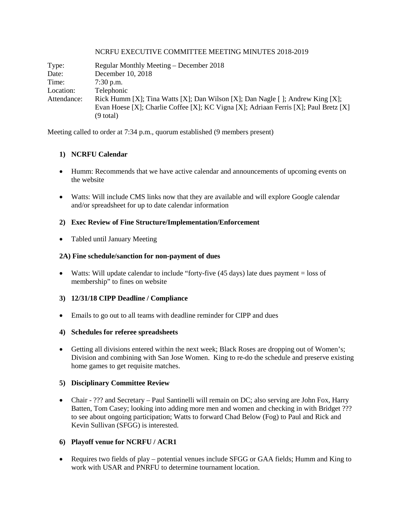#### NCRFU EXECUTIVE COMMITTEE MEETING MINUTES 2018-2019

| Type:       | Regular Monthly Meeting – December 2018                                              |
|-------------|--------------------------------------------------------------------------------------|
| Date:       | December 10, 2018                                                                    |
| Time:       | $7:30$ p.m.                                                                          |
| Location:   | Telephonic                                                                           |
| Attendance: | Rick Humm [X]; Tina Watts [X]; Dan Wilson [X]; Dan Nagle [ ]; Andrew King [X];       |
|             | Evan Hoese [X]; Charlie Coffee [X]; KC Vigna [X]; Adriaan Ferris [X]; Paul Bretz [X] |
|             | $(9$ total)                                                                          |

Meeting called to order at 7:34 p.m., quorum established (9 members present)

### **1) NCRFU Calendar**

- Humm: Recommends that we have active calendar and announcements of upcoming events on the website
- Watts: Will include CMS links now that they are available and will explore Google calendar and/or spreadsheet for up to date calendar information

### **2) Exec Review of Fine Structure/Implementation/Enforcement**

• Tabled until January Meeting

### **2A) Fine schedule/sanction for non-payment of dues**

• Watts: Will update calendar to include "forty-five  $(45 \text{ days})$  late dues payment = loss of membership" to fines on website

### **3) 12/31/18 CIPP Deadline / Compliance**

• Emails to go out to all teams with deadline reminder for CIPP and dues

### **4) Schedules for referee spreadsheets**

• Getting all divisions entered within the next week; Black Roses are dropping out of Women's; Division and combining with San Jose Women. King to re-do the schedule and preserve existing home games to get requisite matches.

### **5) Disciplinary Committee Review**

• Chair - ??? and Secretary – Paul Santinelli will remain on DC; also serving are John Fox, Harry Batten, Tom Casey; looking into adding more men and women and checking in with Bridget ??? to see about ongoing participation; Watts to forward Chad Below (Fog) to Paul and Rick and Kevin Sullivan (SFGG) is interested.

# **6) Playoff venue for NCRFU / ACR1**

• Requires two fields of play – potential venues include SFGG or GAA fields; Humm and King to work with USAR and PNRFU to determine tournament location.